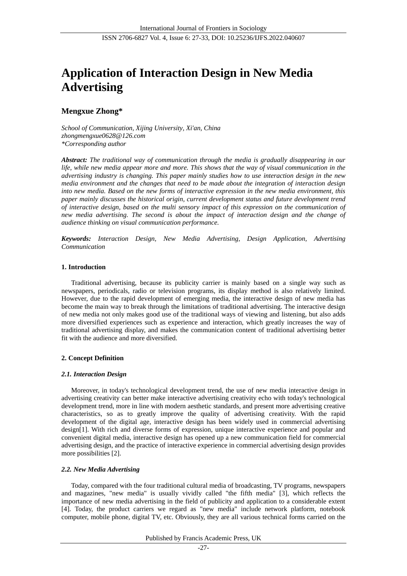# **Application of Interaction Design in New Media Advertising**

# **Mengxue Zhong\***

*School of Communication, Xijing University, Xi'an, China zhongmengxue0628@126.com \*Corresponding author*

*Abstract: The traditional way of communication through the media is gradually disappearing in our life, while new media appear more and more. This shows that the way of visual communication in the advertising industry is changing. This paper mainly studies how to use interaction design in the new media environment and the changes that need to be made about the integration of interaction design into new media. Based on the new forms of interactive expression in the new media environment, this paper mainly discusses the historical origin, current development status and future development trend of interactive design, based on the multi sensory impact of this expression on the communication of new media advertising. The second is about the impact of interaction design and the change of audience thinking on visual communication performance.*

*Keywords: Interaction Design, New Media Advertising, Design Application, Advertising Communication*

# **1. Introduction**

Traditional advertising, because its publicity carrier is mainly based on a single way such as newspapers, periodicals, radio or television programs, its display method is also relatively limited. However, due to the rapid development of emerging media, the interactive design of new media has become the main way to break through the limitations of traditional advertising. The interactive design of new media not only makes good use of the traditional ways of viewing and listening, but also adds more diversified experiences such as experience and interaction, which greatly increases the way of traditional advertising display, and makes the communication content of traditional advertising better fit with the audience and more diversified.

# **2. Concept Definition**

# *2.1. Interaction Design*

Moreover, in today's technological development trend, the use of new media interactive design in advertising creativity can better make interactive advertising creativity echo with today's technological development trend, more in line with modern aesthetic standards, and present more advertising creative characteristics, so as to greatly improve the quality of advertising creativity. With the rapid development of the digital age, interactive design has been widely used in commercial advertising design[1]. With rich and diverse forms of expression, unique interactive experience and popular and convenient digital media, interactive design has opened up a new communication field for commercial advertising design, and the practice of interactive experience in commercial advertising design provides more possibilities [2].

# *2.2. New Media Advertising*

Today, compared with the four traditional cultural media of broadcasting, TV programs, newspapers and magazines, "new media" is usually vividly called "the fifth media" [3], which reflects the importance of new media advertising in the field of publicity and application to a considerable extent [4]. Today, the product carriers we regard as "new media" include network platform, notebook computer, mobile phone, digital TV, etc. Obviously, they are all various technical forms carried on the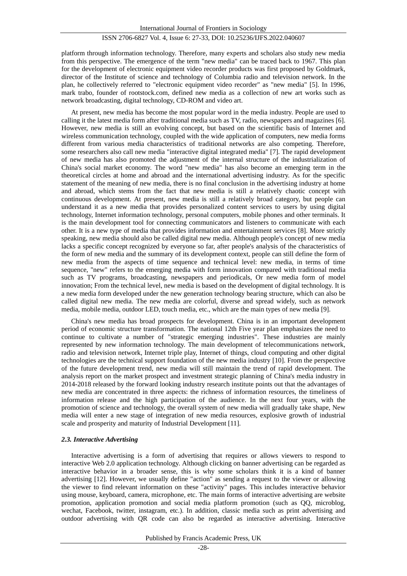platform through information technology. Therefore, many experts and scholars also study new media from this perspective. The emergence of the term "new media" can be traced back to 1967. This plan for the development of electronic equipment video recorder products was first proposed by Goldmark, director of the Institute of science and technology of Columbia radio and television network. In the plan, he collectively referred to "electronic equipment video recorder" as "new media" [5]. In 1996, mark trabo, founder of rootstock.com, defined new media as a collection of new art works such as network broadcasting, digital technology, CD-ROM and video art.

At present, new media has become the most popular word in the media industry. People are used to calling it the latest media form after traditional media such as TV, radio, newspapers and magazines [6]. However, new media is still an evolving concept, but based on the scientific basis of Internet and wireless communication technology, coupled with the wide application of computers, new media forms different from various media characteristics of traditional networks are also competing. Therefore, some researchers also call new media "interactive digital integrated media" [7]. The rapid development of new media has also promoted the adjustment of the internal structure of the industrialization of China's social market economy. The word "new media" has also become an emerging term in the theoretical circles at home and abroad and the international advertising industry. As for the specific statement of the meaning of new media, there is no final conclusion in the advertising industry at home and abroad, which stems from the fact that new media is still a relatively chaotic concept with continuous development. At present, new media is still a relatively broad category, but people can understand it as a new media that provides personalized content services to users by using digital technology, Internet information technology, personal computers, mobile phones and other terminals. It is the main development tool for connecting communicators and listeners to communicate with each other. It is a new type of media that provides information and entertainment services [8]. More strictly speaking, new media should also be called digital new media. Although people's concept of new media lacks a specific concept recognized by everyone so far, after people's analysis of the characteristics of the form of new media and the summary of its development context, people can still define the form of new media from the aspects of time sequence and technical level: new media, in terms of time sequence, "new" refers to the emerging media with form innovation compared with traditional media such as TV programs, broadcasting, newspapers and periodicals, Or new media form of model innovation; From the technical level, new media is based on the development of digital technology. It is a new media form developed under the new generation technology bearing structure, which can also be called digital new media. The new media are colorful, diverse and spread widely, such as network media, mobile media, outdoor LED, touch media, etc., which are the main types of new media [9].

China's new media has broad prospects for development. China is in an important development period of economic structure transformation. The national 12th Five year plan emphasizes the need to continue to cultivate a number of "strategic emerging industries". These industries are mainly represented by new information technology. The main development of telecommunications network, radio and television network, Internet triple play, Internet of things, cloud computing and other digital technologies are the technical support foundation of the new media industry [10]. From the perspective of the future development trend, new media will still maintain the trend of rapid development. The analysis report on the market prospect and investment strategic planning of China's media industry in 2014-2018 released by the forward looking industry research institute points out that the advantages of new media are concentrated in three aspects: the richness of information resources, the timeliness of information release and the high participation of the audience. In the next four years, with the promotion of science and technology, the overall system of new media will gradually take shape, New media will enter a new stage of integration of new media resources, explosive growth of industrial scale and prosperity and maturity of Industrial Development [11].

#### *2.3. Interactive Advertising*

Interactive advertising is a form of advertising that requires or allows viewers to respond to interactive Web 2.0 application technology. Although clicking on banner advertising can be regarded as interactive behavior in a broader sense, this is why some scholars think it is a kind of banner advertising [12]. However, we usually define "action" as sending a request to the viewer or allowing the viewer to find relevant information on these "activity" pages. This includes interactive behavior using mouse, keyboard, camera, microphone, etc. The main forms of interactive advertising are website promotion, application promotion and social media platform promotion (such as QQ, microblog, wechat, Facebook, twitter, instagram, etc.). In addition, classic media such as print advertising and outdoor advertising with QR code can also be regarded as interactive advertising. Interactive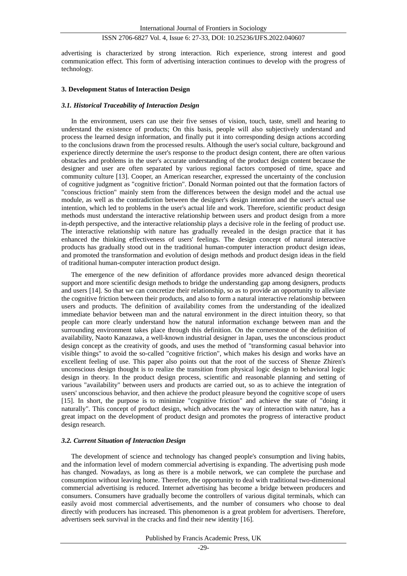advertising is characterized by strong interaction. Rich experience, strong interest and good communication effect. This form of advertising interaction continues to develop with the progress of technology.

#### **3. Development Status of Interaction Design**

#### *3.1. Historical Traceability of Interaction Design*

In the environment, users can use their five senses of vision, touch, taste, smell and hearing to understand the existence of products; On this basis, people will also subjectively understand and process the learned design information, and finally put it into corresponding design actions according to the conclusions drawn from the processed results. Although the user's social culture, background and experience directly determine the user's response to the product design content, there are often various obstacles and problems in the user's accurate understanding of the product design content because the designer and user are often separated by various regional factors composed of time, space and community culture [13]. Cooper, an American researcher, expressed the uncertainty of the conclusion of cognitive judgment as "cognitive friction". Donald Norman pointed out that the formation factors of "conscious friction" mainly stem from the differences between the design model and the actual use module, as well as the contradiction between the designer's design intention and the user's actual use intention, which led to problems in the user's actual life and work. Therefore, scientific product design methods must understand the interactive relationship between users and product design from a more in-depth perspective, and the interactive relationship plays a decisive role in the feeling of product use. The interactive relationship with nature has gradually revealed in the design practice that it has enhanced the thinking effectiveness of users' feelings. The design concept of natural interactive products has gradually stood out in the traditional human-computer interaction product design ideas, and promoted the transformation and evolution of design methods and product design ideas in the field of traditional human-computer interaction product design.

The emergence of the new definition of affordance provides more advanced design theoretical support and more scientific design methods to bridge the understanding gap among designers, products and users [14]. So that we can concretize their relationship, so as to provide an opportunity to alleviate the cognitive friction between their products, and also to form a natural interactive relationship between users and products. The definition of availability comes from the understanding of the idealized immediate behavior between man and the natural environment in the direct intuition theory, so that people can more clearly understand how the natural information exchange between man and the surrounding environment takes place through this definition. On the cornerstone of the definition of availability, Naoto Kanazawa, a well-known industrial designer in Japan, uses the unconscious product design concept as the creativity of goods, and uses the method of "transforming casual behavior into visible things" to avoid the so-called "cognitive friction", which makes his design and works have an excellent feeling of use. This paper also points out that the root of the success of Shenze Zhiren's unconscious design thought is to realize the transition from physical logic design to behavioral logic design in theory. In the product design process, scientific and reasonable planning and setting of various "availability" between users and products are carried out, so as to achieve the integration of users' unconscious behavior, and then achieve the product pleasure beyond the cognitive scope of users [15]. In short, the purpose is to minimize "cognitive friction" and achieve the state of "doing it naturally". This concept of product design, which advocates the way of interaction with nature, has a great impact on the development of product design and promotes the progress of interactive product design research.

#### *3.2. Current Situation of Interaction Design*

The development of science and technology has changed people's consumption and living habits, and the information level of modern commercial advertising is expanding. The advertising push mode has changed. Nowadays, as long as there is a mobile network, we can complete the purchase and consumption without leaving home. Therefore, the opportunity to deal with traditional two-dimensional commercial advertising is reduced. Internet advertising has become a bridge between producers and consumers. Consumers have gradually become the controllers of various digital terminals, which can easily avoid most commercial advertisements, and the number of consumers who choose to deal directly with producers has increased. This phenomenon is a great problem for advertisers. Therefore, advertisers seek survival in the cracks and find their new identity [16].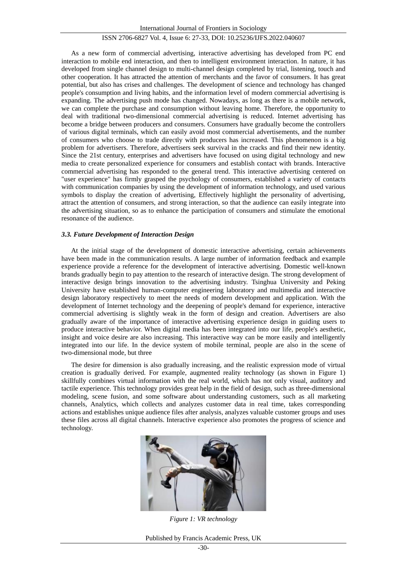As a new form of commercial advertising, interactive advertising has developed from PC end interaction to mobile end interaction, and then to intelligent environment interaction. In nature, it has developed from single channel design to multi-channel design completed by trial, listening, touch and other cooperation. It has attracted the attention of merchants and the favor of consumers. It has great potential, but also has crises and challenges. The development of science and technology has changed people's consumption and living habits, and the information level of modern commercial advertising is expanding. The advertising push mode has changed. Nowadays, as long as there is a mobile network, we can complete the purchase and consumption without leaving home. Therefore, the opportunity to deal with traditional two-dimensional commercial advertising is reduced. Internet advertising has become a bridge between producers and consumers. Consumers have gradually become the controllers of various digital terminals, which can easily avoid most commercial advertisements, and the number of consumers who choose to trade directly with producers has increased. This phenomenon is a big problem for advertisers. Therefore, advertisers seek survival in the cracks and find their new identity. Since the 21st century, enterprises and advertisers have focused on using digital technology and new media to create personalized experience for consumers and establish contact with brands. Interactive commercial advertising has responded to the general trend. This interactive advertising centered on "user experience" has firmly grasped the psychology of consumers, established a variety of contacts with communication companies by using the development of information technology, and used various symbols to display the creation of advertising, Effectively highlight the personality of advertising, attract the attention of consumers, and strong interaction, so that the audience can easily integrate into the advertising situation, so as to enhance the participation of consumers and stimulate the emotional resonance of the audience.

#### *3.3. Future Development of Interaction Design*

At the initial stage of the development of domestic interactive advertising, certain achievements have been made in the communication results. A large number of information feedback and example experience provide a reference for the development of interactive advertising. Domestic well-known brands gradually begin to pay attention to the research of interactive design. The strong development of interactive design brings innovation to the advertising industry. Tsinghua University and Peking University have established human-computer engineering laboratory and multimedia and interactive design laboratory respectively to meet the needs of modern development and application. With the development of Internet technology and the deepening of people's demand for experience, interactive commercial advertising is slightly weak in the form of design and creation. Advertisers are also gradually aware of the importance of interactive advertising experience design in guiding users to produce interactive behavior. When digital media has been integrated into our life, people's aesthetic, insight and voice desire are also increasing. This interactive way can be more easily and intelligently integrated into our life. In the device system of mobile terminal, people are also in the scene of two-dimensional mode, but three

The desire for dimension is also gradually increasing, and the realistic expression mode of virtual creation is gradually derived. For example, augmented reality technology (as shown in Figure 1) skillfully combines virtual information with the real world, which has not only visual, auditory and tactile experience. This technology provides great help in the field of design, such as three-dimensional modeling, scene fusion, and some software about understanding customers, such as all marketing channels, Analytics, which collects and analyzes customer data in real time, takes corresponding actions and establishes unique audience files after analysis, analyzes valuable customer groups and uses these files across all digital channels. Interactive experience also promotes the progress of science and technology.



*Figure 1: VR technology*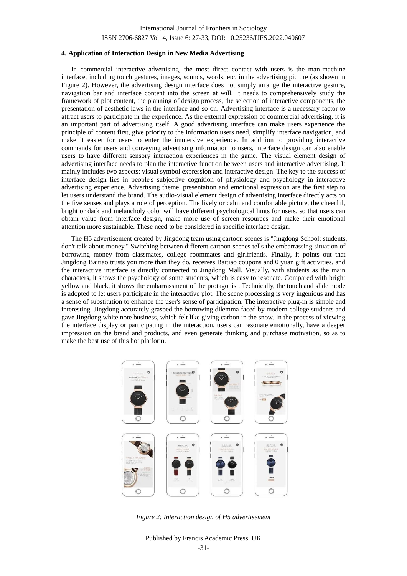#### **4. Application of Interaction Design in New Media Advertising**

In commercial interactive advertising, the most direct contact with users is the man-machine interface, including touch gestures, images, sounds, words, etc. in the advertising picture (as shown in Figure 2). However, the advertising design interface does not simply arrange the interactive gesture, navigation bar and interface content into the screen at will. It needs to comprehensively study the framework of plot content, the planning of design process, the selection of interactive components, the presentation of aesthetic laws in the interface and so on. Advertising interface is a necessary factor to attract users to participate in the experience. As the external expression of commercial advertising, it is an important part of advertising itself. A good advertising interface can make users experience the principle of content first, give priority to the information users need, simplify interface navigation, and make it easier for users to enter the immersive experience. In addition to providing interactive commands for users and conveying advertising information to users, interface design can also enable users to have different sensory interaction experiences in the game. The visual element design of advertising interface needs to plan the interactive function between users and interactive advertising. It mainly includes two aspects: visual symbol expression and interactive design. The key to the success of interface design lies in people's subjective cognition of physiology and psychology in interactive advertising experience. Advertising theme, presentation and emotional expression are the first step to let users understand the brand. The audio-visual element design of advertising interface directly acts on the five senses and plays a role of perception. The lively or calm and comfortable picture, the cheerful, bright or dark and melancholy color will have different psychological hints for users, so that users can obtain value from interface design, make more use of screen resources and make their emotional attention more sustainable. These need to be considered in specific interface design.

The H5 advertisement created by Jingdong team using cartoon scenes is "Jingdong School: students, don't talk about money." Switching between different cartoon scenes tells the embarrassing situation of borrowing money from classmates, college roommates and girlfriends. Finally, it points out that Jingdong Baitiao trusts you more than they do, receives Baitiao coupons and 0 yuan gift activities, and the interactive interface is directly connected to Jingdong Mall. Visually, with students as the main characters, it shows the psychology of some students, which is easy to resonate. Compared with bright yellow and black, it shows the embarrassment of the protagonist. Technically, the touch and slide mode is adopted to let users participate in the interactive plot. The scene processing is very ingenious and has a sense of substitution to enhance the user's sense of participation. The interactive plug-in is simple and interesting. Jingdong accurately grasped the borrowing dilemma faced by modern college students and gave Jingdong white note business, which felt like giving carbon in the snow. In the process of viewing the interface display or participating in the interaction, users can resonate emotionally, have a deeper impression on the brand and products, and even generate thinking and purchase motivation, so as to make the best use of this hot platform.



*Figure 2: Interaction design of H5 advertisement*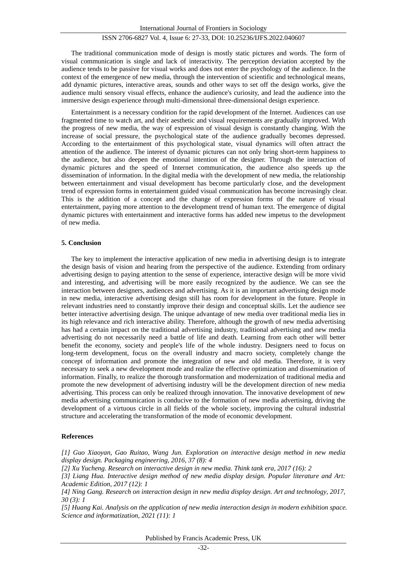The traditional communication mode of design is mostly static pictures and words. The form of visual communication is single and lack of interactivity. The perception deviation accepted by the audience tends to be passive for visual works and does not enter the psychology of the audience. In the context of the emergence of new media, through the intervention of scientific and technological means, add dynamic pictures, interactive areas, sounds and other ways to set off the design works, give the audience multi sensory visual effects, enhance the audience's curiosity, and lead the audience into the immersive design experience through multi-dimensional three-dimensional design experience.

Entertainment is a necessary condition for the rapid development of the Internet. Audiences can use fragmented time to watch art, and their aesthetic and visual requirements are gradually improved. With the progress of new media, the way of expression of visual design is constantly changing. With the increase of social pressure, the psychological state of the audience gradually becomes depressed. According to the entertainment of this psychological state, visual dynamics will often attract the attention of the audience. The interest of dynamic pictures can not only bring short-term happiness to the audience, but also deepen the emotional intention of the designer. Through the interaction of dynamic pictures and the speed of Internet communication, the audience also speeds up the dissemination of information. In the digital media with the development of new media, the relationship between entertainment and visual development has become particularly close, and the development trend of expression forms in entertainment guided visual communication has become increasingly clear. This is the addition of a concept and the change of expression forms of the nature of visual entertainment, paying more attention to the development trend of human text. The emergence of digital dynamic pictures with entertainment and interactive forms has added new impetus to the development of new media.

# **5. Conclusion**

The key to implement the interactive application of new media in advertising design is to integrate the design basis of vision and hearing from the perspective of the audience. Extending from ordinary advertising design to paying attention to the sense of experience, interactive design will be more vivid and interesting, and advertising will be more easily recognized by the audience. We can see the interaction between designers, audiences and advertising. As it is an important advertising design mode in new media, interactive advertising design still has room for development in the future. People in relevant industries need to constantly improve their design and conceptual skills. Let the audience see better interactive advertising design. The unique advantage of new media over traditional media lies in its high relevance and rich interactive ability. Therefore, although the growth of new media advertising has had a certain impact on the traditional advertising industry, traditional advertising and new media advertising do not necessarily need a battle of life and death. Learning from each other will better benefit the economy, society and people's life of the whole industry. Designers need to focus on long-term development, focus on the overall industry and macro society, completely change the concept of information and promote the integration of new and old media. Therefore, it is very necessary to seek a new development mode and realize the effective optimization and dissemination of information. Finally, to realize the thorough transformation and modernization of traditional media and promote the new development of advertising industry will be the development direction of new media advertising. This process can only be realized through innovation. The innovative development of new media advertising communication is conducive to the formation of new media advertising, driving the development of a virtuous circle in all fields of the whole society, improving the cultural industrial structure and accelerating the transformation of the mode of economic development.

#### **References**

*[1] Guo Xiaoyan, Gao Ruitao, Wang Jun. Exploration on interactive design method in new media display design. Packaging engineering, 2016, 37 (8): 4*

*[2] Xu Yucheng. Research on interactive design in new media. Think tank era, 2017 (16): 2*

*[3] Liang Hua. Interactive design method of new media display design. Popular literature and Art: Academic Edition, 2017 (12): 1*

*[4] Ning Gang. Research on interaction design in new media display design. Art and technology, 2017, 30 (3): 1*

*[5] Huang Kai. Analysis on the application of new media interaction design in modern exhibition space. Science and informatization, 2021 (11): 1*